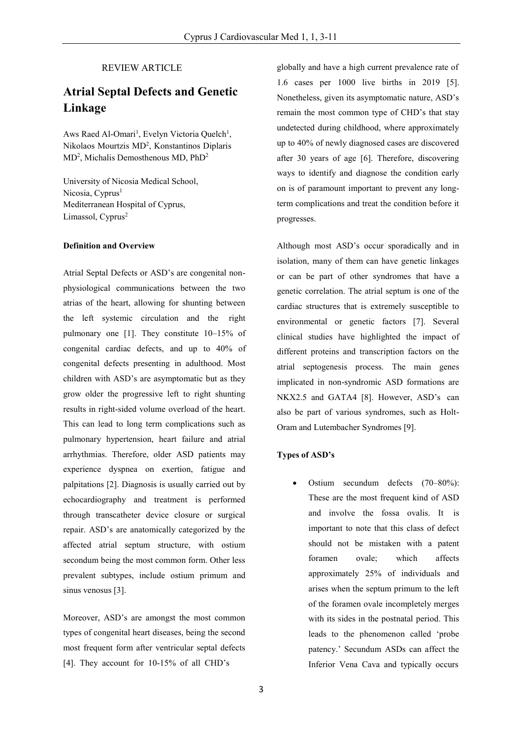## REVIEW ARTICLE

# **Atrial Septal Defects and Genetic Linkage**

Aws Raed Al-Omari<sup>1</sup>, Evelyn Victoria Quelch<sup>1</sup>, Nikolaos Mourtzis MD<sup>2</sup> , Konstantinos Diplaris MD<sup>2</sup>, Michalis Demosthenous MD, PhD<sup>2</sup>

University of Nicosia Medical School, Nicosia, Cyprus<sup>1</sup> Mediterranean Hospital of Cyprus, Limassol, Cyprus<sup>2</sup>

#### **Definition and Overview**

Atrial Septal Defects or ASD's are congenital nonphysiological communications between the two atrias of the heart, allowing for shunting between the left systemic circulation and the right pulmonary one [1]. They constitute 10–15% of congenital cardiac defects, and up to 40% of congenital defects presenting in adulthood. Most children with ASD's are asymptomatic but as they grow older the progressive left to right shunting results in right-sided volume overload of the heart. This can lead to long term complications such as pulmonary hypertension, heart failure and atrial arrhythmias. Therefore, older ASD patients may experience dyspnea on exertion, fatigue and palpitations [2]. Diagnosis is usually carried out by echocardiography and treatment is performed through transcatheter device closure or surgical repair. ASD's are anatomically categorized by the affected atrial septum structure, with ostium secondum being the most common form. Other less prevalent subtypes, include ostium primum and sinus venosus [3].

Moreover, ASD's are amongst the most common types of congenital heart diseases, being the second most frequent form after ventricular septal defects [4]. They account for 10-15% of all CHD's

globally and have a high current prevalence rate of 1.6 cases per 1000 live births in 2019 [5]. Nonetheless, given its asymptomatic nature, ASD's remain the most common type of CHD's that stay undetected during childhood, where approximately up to 40% of newly diagnosed cases are discovered after 30 years of age [6]. Therefore, discovering ways to identify and diagnose the condition early on is of paramount important to prevent any longterm complications and treat the condition before it progresses.

Although most ASD's occur sporadically and in isolation, many of them can have genetic linkages or can be part of other syndromes that have a genetic correlation. The atrial septum is one of the cardiac structures that is extremely susceptible to environmental or genetic factors [7]. Several clinical studies have highlighted the impact of different proteins and transcription factors on the atrial septogenesis process. The main genes implicated in non-syndromic ASD formations are NKX2.5 and GATA4 [8]. However, ASD's can also be part of various syndromes, such as Holt-Oram and Lutembacher Syndromes [9].

## **Types of ASD's**

 Ostium secundum defects (70–80%): These are the most frequent kind of ASD and involve the fossa ovalis. It is important to note that this class of defect should not be mistaken with a patent foramen ovale; which affects approximately 25% of individuals and arises when the septum primum to the left of the foramen ovale incompletely merges with its sides in the postnatal period. This leads to the phenomenon called 'probe patency.' Secundum ASDs can affect the Inferior Vena Cava and typically occurs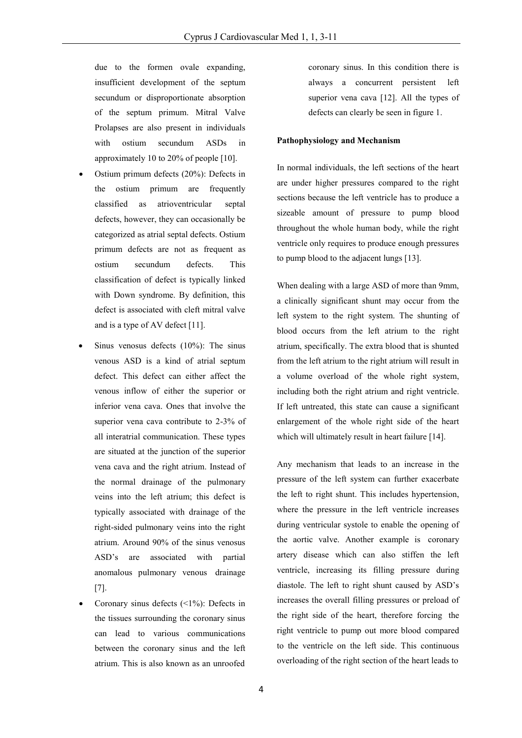due to the formen ovale expanding, insufficient development of the septum secundum or disproportionate absorption of the septum primum. Mitral Valve Prolapses are also present in individuals with ostium secundum ASDs in approximately 10 to 20% of people [10].

- Ostium primum defects (20%): Defects in the ostium primum are frequently classified as atrioventricular septal defects, however, they can occasionally be categorized as atrial septal defects. Ostium primum defects are not as frequent as ostium secundum defects. This classification of defect is typically linked with Down syndrome. By definition, this defect is associated with cleft mitral valve and is a type of AV defect [11].
- Sinus venosus defects (10%): The sinus venous ASD is a kind of atrial septum defect. This defect can either affect the venous inflow of either the superior or inferior vena cava. Ones that involve the superior vena cava contribute to 2-3% of all interatrial communication. These types are situated at the junction of the superior vena cava and the right atrium. Instead of the normal drainage of the pulmonary veins into the left atrium; this defect is typically associated with drainage of the right-sided pulmonary veins into the right atrium. Around 90% of the sinus venosus ASD's are associated with partial anomalous pulmonary venous drainage [7].
- Coronary sinus defects (<1%): Defects in the tissues surrounding the coronary sinus can lead to various communications between the coronary sinus and the left atrium. This is also known as an unroofed

coronary sinus. In this condition there is always a concurrent persistent left superior vena cava [12]. All the types of defects can clearly be seen in figure 1.

#### **Pathophysiology and Mechanism**

In normal individuals, the left sections of the heart are under higher pressures compared to the right sections because the left ventricle has to produce a sizeable amount of pressure to pump blood throughout the whole human body, while the right ventricle only requires to produce enough pressures to pump blood to the adjacent lungs [13].

When dealing with a large ASD of more than 9mm, a clinically significant shunt may occur from the left system to the right system. The shunting of blood occurs from the left atrium to the right atrium, specifically. The extra blood that is shunted from the left atrium to the right atrium will result in a volume overload of the whole right system, including both the right atrium and right ventricle. If left untreated, this state can cause a significant enlargement of the whole right side of the heart which will ultimately result in heart failure [14].

Any mechanism that leads to an increase in the pressure of the left system can further exacerbate the left to right shunt. This includes hypertension, where the pressure in the left ventricle increases during ventricular systole to enable the opening of the aortic valve. Another example is coronary artery disease which can also stiffen the left ventricle, increasing its filling pressure during diastole. The left to right shunt caused by ASD's increases the overall filling pressures or preload of the right side of the heart, therefore forcing the right ventricle to pump out more blood compared to the ventricle on the left side. This continuous overloading of the right section of the heart leads to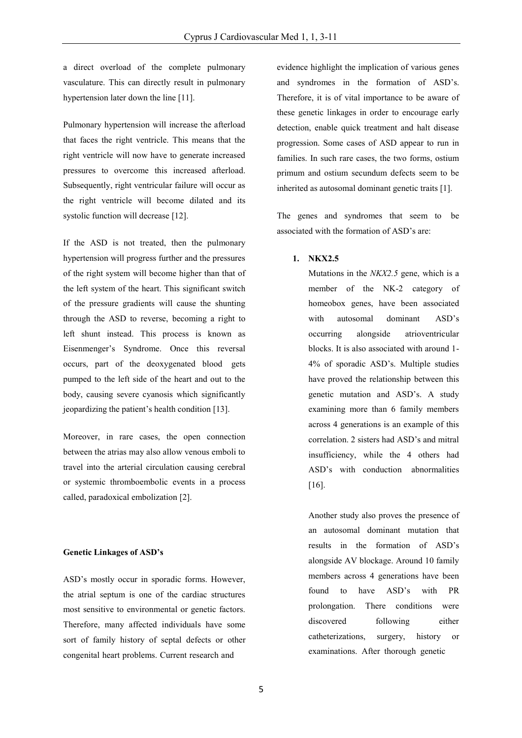a direct overload of the complete pulmonary vasculature. This can directly result in pulmonary hypertension later down the line [11].

Pulmonary hypertension will increase the afterload that faces the right ventricle. This means that the right ventricle will now have to generate increased pressures to overcome this increased afterload. Subsequently, right ventricular failure will occur as the right ventricle will become dilated and its systolic function will decrease [12].

If the ASD is not treated, then the pulmonary hypertension will progress further and the pressures of the right system will become higher than that of the left system of the heart. This significant switch of the pressure gradients will cause the shunting through the ASD to reverse, becoming a right to left shunt instead. This process is known as Eisenmenger's Syndrome. Once this reversal occurs, part of the deoxygenated blood gets pumped to the left side of the heart and out to the body, causing severe cyanosis which significantly jeopardizing the patient's health condition [13].

Moreover, in rare cases, the open connection between the atrias may also allow venous emboli to travel into the arterial circulation causing cerebral or systemic thromboembolic events in a process called, paradoxical embolization [2].

#### **Genetic Linkages of ASD's**

ASD's mostly occur in sporadic forms. However, the atrial septum is one of the cardiac structures most sensitive to environmental or genetic factors. Therefore, many affected individuals have some sort of family history of septal defects or other congenital heart problems. Current research and

evidence highlight the implication of various genes and syndromes in the formation of ASD's. Therefore, it is of vital importance to be aware of these genetic linkages in order to encourage early detection, enable quick treatment and halt disease progression. Some cases of ASD appear to run in families. In such rare cases, the two forms, ostium primum and ostium secundum defects seem to be inherited as autosomal dominant genetic traits [1].

The genes and syndromes that seem to be associated with the formation of ASD's are:

## **1. NKX2.5**

Mutations in the *NKX2.5* gene, which is a member of the NK-2 category of homeobox genes, have been associated with autosomal dominant ASD's occurring alongside atrioventricular blocks. It is also associated with around 1- 4% of sporadic ASD's. Multiple studies have proved the relationship between this genetic mutation and ASD's. A study examining more than 6 family members across 4 generations is an example of this correlation. 2 sisters had ASD's and mitral insufficiency, while the 4 others had ASD's with conduction abnormalities [16].

Another study also proves the presence of an autosomal dominant mutation that results in the formation of ASD's alongside AV blockage. Around 10 family members across 4 generations have been found to have ASD's with PR prolongation. There conditions were discovered following either catheterizations, surgery, history or examinations. After thorough genetic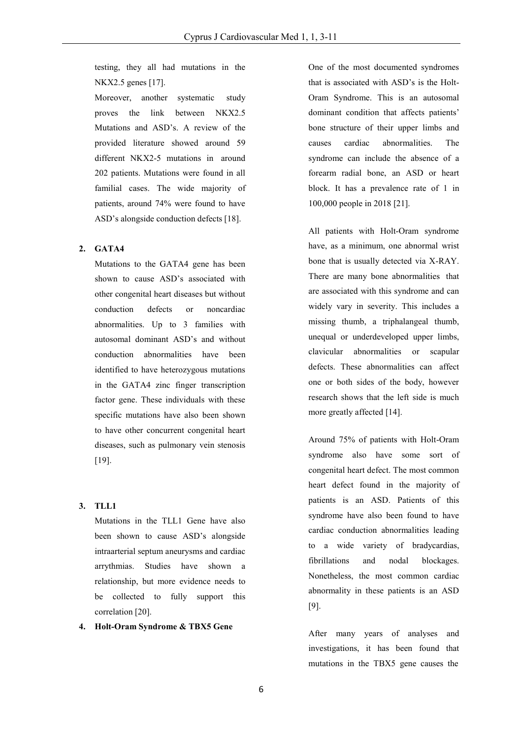testing, they all had mutations in the NKX2.5 genes [17].

Moreover, another systematic study proves the link between NKX2.5 Mutations and ASD's. A review of the provided literature showed around 59 different NKX2-5 mutations in around 202 patients. Mutations were found in all familial cases. The wide majority of patients, around 74% were found to have ASD's alongside conduction defects [18].

## **2. GATA4**

Mutations to the GATA4 gene has been shown to cause ASD's associated with other congenital heart diseases but without conduction defects or noncardiac abnormalities. Up to 3 families with autosomal dominant ASD's and without conduction abnormalities have been identified to have heterozygous mutations in the GATA4 zinc finger transcription factor gene. These individuals with these specific mutations have also been shown to have other concurrent congenital heart diseases, such as pulmonary vein stenosis [19].

### **3. TLL1**

Mutations in the TLL1 Gene have also been shown to cause ASD's alongside intraarterial septum aneurysms and cardiac arrythmias. Studies have shown a relationship, but more evidence needs to be collected to fully support this correlation [20].

# **4. Holt-Oram Syndrome & TBX5 Gene**

One of the most documented syndromes that is associated with ASD's is the Holt-Oram Syndrome. This is an autosomal dominant condition that affects patients' bone structure of their upper limbs and causes cardiac abnormalities. The syndrome can include the absence of a forearm radial bone, an ASD or heart block. It has a prevalence rate of 1 in 100,000 people in 2018 [21].

All patients with Holt-Oram syndrome have, as a minimum, one abnormal wrist bone that is usually detected via X-RAY. There are many bone abnormalities that are associated with this syndrome and can widely vary in severity. This includes a missing thumb, a triphalangeal thumb, unequal or underdeveloped upper limbs, clavicular abnormalities or scapular defects. These abnormalities can affect one or both sides of the body, however research shows that the left side is much more greatly affected [14].

Around 75% of patients with Holt-Oram syndrome also have some sort of congenital heart defect. The most common heart defect found in the majority of patients is an ASD. Patients of this syndrome have also been found to have cardiac conduction abnormalities leading to a wide variety of bradycardias, fibrillations and nodal blockages. Nonetheless, the most common cardiac abnormality in these patients is an ASD [9].

After many years of analyses and investigations, it has been found that mutations in the TBX5 gene causes the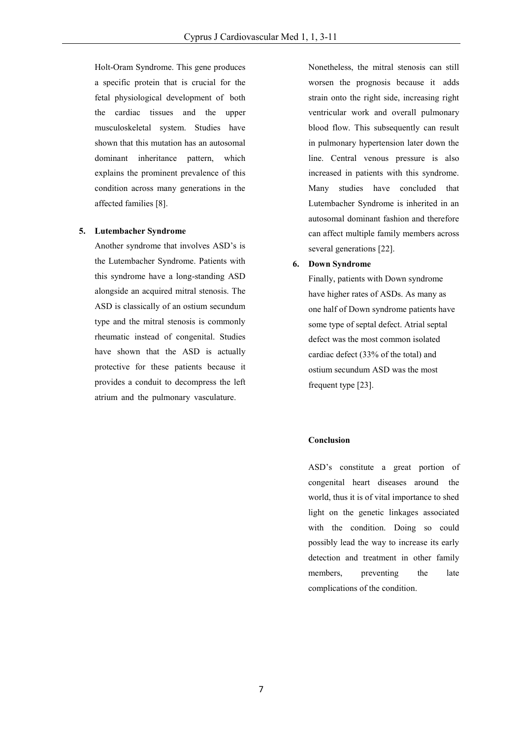Holt-Oram Syndrome. This gene produces a specific protein that is crucial for the fetal physiological development of both the cardiac tissues and the upper musculoskeletal system. Studies have shown that this mutation has an autosomal dominant inheritance pattern, which explains the prominent prevalence of this condition across many generations in the affected families [8].

#### **5. Lutembacher Syndrome**

Another syndrome that involves ASD's is the Lutembacher Syndrome. Patients with this syndrome have a long-standing ASD alongside an acquired mitral stenosis. The ASD is classically of an ostium secundum type and the mitral stenosis is commonly rheumatic instead of congenital. Studies have shown that the ASD is actually protective for these patients because it provides a conduit to decompress the left atrium and the pulmonary vasculature.

Nonetheless, the mitral stenosis can still worsen the prognosis because it adds strain onto the right side, increasing right ventricular work and overall pulmonary blood flow. This subsequently can result in pulmonary hypertension later down the line. Central venous pressure is also increased in patients with this syndrome. Many studies have concluded that Lutembacher Syndrome is inherited in an autosomal dominant fashion and therefore can affect multiple family members across several generations [22].

### **6. Down Syndrome**

Finally, patients with Down syndrome have higher rates of ASDs. As many as one half of Down syndrome patients have some type of septal defect. Atrial septal defect was the most common isolated cardiac defect (33% of the total) and ostium secundum ASD was the most frequent type [23].

#### **Conclusion**

ASD's constitute a great portion of congenital heart diseases around the world, thus it is of vital importance to shed light on the genetic linkages associated with the condition. Doing so could possibly lead the way to increase its early detection and treatment in other family members, preventing the late complications of the condition.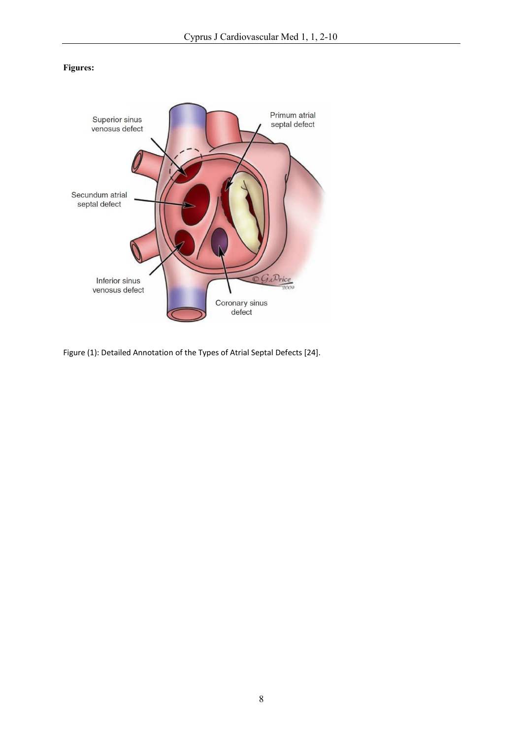# **Figures:**



Figure (1): Detailed Annotation of the Types of Atrial Septal Defects [24].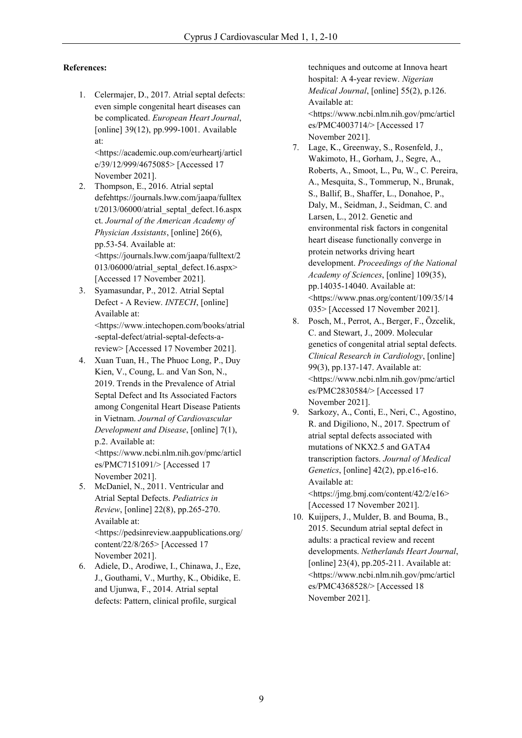# **References:**

1. Celermajer, D., 2017. Atrial septal defects: even simple congenital heart diseases can be complicated. *European Heart Journal*, [online] 39(12), pp.999-1001. Available at:

<https://academic.oup.com/eurheartj/articl e/39/12/999/4675085> [Accessed 17 November 2021].

- 2. Thompson, E., 2016. Atrial septal defehttps://journals.lww.com/jaapa/fulltex t/2013/06000/atrial\_septal\_defect.16.aspx ct. *Journal of the American Academy of Physician Assistants*, [online] 26(6), pp.53-54. Available at: <https://journals.lww.com/jaapa/fulltext/2 013/06000/atrial\_septal\_defect.16.aspx> [Accessed 17 November 2021].
- 3. Syamasundar, P., 2012. Atrial Septal Defect - A Review. *INTECH*, [online] Available at: <https:/[/www.intechopen.com/books/atrial](http://www.intechopen.com/books/atrial) -septal-defect/atrial-septal-defects-areview> [Accessed 17 November 2021].
- 4. Xuan Tuan, H., The Phuoc Long, P., Duy Kien, V., Coung, L. and Van Son, N., 2019. Trends in the Prevalence of Atrial Septal Defect and Its Associated Factors among Congenital Heart Disease Patients in Vietnam. *Journal of Cardiovascular Development and Disease*, [online] 7(1), p.2. Available at:

<https:/[/www.ncbi.nlm.nih.gov/pmc/articl](http://www.ncbi.nlm.nih.gov/pmc/articl) es/PMC7151091/> [Accessed 17 November 2021].

- 5. McDaniel, N., 2011. Ventricular and Atrial Septal Defects. *Pediatrics in Review*, [online] 22(8), pp.265-270. Available at: <https://pedsinreview.aappublications.org/ content/22/8/265> [Accessed 17 November 2021].
- 6. Adiele, D., Arodiwe, I., Chinawa, J., Eze, J., Gouthami, V., Murthy, K., Obidike, E. and Ujunwa, F., 2014. Atrial septal defects: Pattern, clinical profile, surgical

techniques and outcome at Innova heart hospital: A 4-year review. *Nigerian Medical Journal*, [online] 55(2), p.126. Available at: <https:/[/www.ncbi.nlm.nih.gov/pmc/articl](http://www.ncbi.nlm.nih.gov/pmc/articl)

es/PMC4003714/> [Accessed 17 November 2021].

- 7. Lage, K., Greenway, S., Rosenfeld, J., Wakimoto, H., Gorham, J., Segre, A., Roberts, A., Smoot, L., Pu, W., C. Pereira, A., Mesquita, S., Tommerup, N., Brunak, S., Ballif, B., Shaffer, L., Donahoe, P., Daly, M., Seidman, J., Seidman, C. and Larsen, L., 2012. Genetic and environmental risk factors in congenital heart disease functionally converge in protein networks driving heart development. *Proceedings of the National Academy of Sciences*, [online] 109(35), pp.14035-14040. Available at: <https:/[/www.pnas.org/content/109/35/14](http://www.pnas.org/content/109/35/14) 035> [Accessed 17 November 2021].
- 8. Posch, M., Perrot, A., Berger, F., Özcelik, C. and Stewart, J., 2009. Molecular genetics of congenital atrial septal defects. *Clinical Research in Cardiology*, [online] 99(3), pp.137-147. Available at: <https:/[/www.ncbi.nlm.nih.gov/pmc/articl](http://www.ncbi.nlm.nih.gov/pmc/articl) es/PMC2830584/> [Accessed 17 November 2021].
- 9. Sarkozy, A., Conti, E., Neri, C., Agostino, R. and Digiliono, N., 2017. Spectrum of atrial septal defects associated with mutations of NKX2.5 and GATA4 transcription factors. *Journal of Medical Genetics*, [online] 42(2), pp.e16-e16. Available at: <https://jmg.bmj.com/content/42/2/e16> [Accessed 17 November 2021].
- 10. Kuijpers, J., Mulder, B. and Bouma, B., 2015. Secundum atrial septal defect in adults: a practical review and recent developments. *Netherlands Heart Journal*, [online]  $23(4)$ , pp.205-211. Available at: <https:/[/www.ncbi.nlm.nih.gov/pmc/articl](http://www.ncbi.nlm.nih.gov/pmc/articl) es/PMC4368528/> [Accessed 18 November 2021].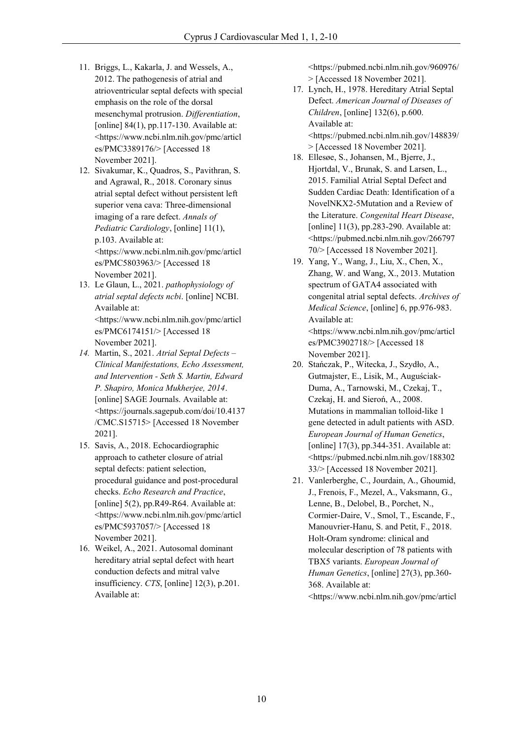- 11. Briggs, L., Kakarla, J. and Wessels, A., 2012. The pathogenesis of atrial and atrioventricular septal defects with special emphasis on the role of the dorsal mesenchymal protrusion. *Differentiation*, [online]  $84(1)$ , pp.117-130. Available at: <https:/[/www.ncbi.nlm.nih.gov/pmc/articl](http://www.ncbi.nlm.nih.gov/pmc/articl) es/PMC3389176/> [Accessed 18 November 2021].
- 12. Sivakumar, K., Quadros, S., Pavithran, S. and Agrawal, R., 2018. Coronary sinus atrial septal defect without persistent left superior vena cava: Three-dimensional imaging of a rare defect. *Annals of Pediatric Cardiology*, [online] 11(1), p.103. Available at: <https:/[/www.ncbi.nlm.nih.gov/pmc/articl](http://www.ncbi.nlm.nih.gov/pmc/articl) es/PMC5803963/> [Accessed 18 November 2021].
- 13. Le Glaun, L., 2021. *pathophysiology of atrial septal defects ncbi*. [online] NCBI. Available at: <https:/[/www.ncbi.nlm.nih.gov/pmc/articl](http://www.ncbi.nlm.nih.gov/pmc/articl) es/PMC6174151/> [Accessed 18 November 2021].
- *14.* Martin, S., 2021. *Atrial Septal Defects – Clinical Manifestations, Echo Assessment, and Intervention - Seth S. Martin, Edward P. Shapiro, Monica Mukherjee, 2014*. [online] SAGE Journals. Available at: <https://journals.sagepub.com/doi/10.4137 /CMC.S15715> [Accessed 18 November 2021].
- 15. Savis, A., 2018. Echocardiographic approach to catheter closure of atrial septal defects: patient selection, procedural guidance and post-procedural checks. *Echo Research and Practice*, [online] 5(2), pp.R49-R64. Available at: <https:/[/www.ncbi.nlm.nih.gov/pmc/articl](http://www.ncbi.nlm.nih.gov/pmc/articl) es/PMC5937057/> [Accessed 18 November 2021].
- 16. Weikel, A., 2021. Autosomal dominant hereditary atrial septal defect with heart conduction defects and mitral valve insufficiency. *CTS*, [online] 12(3), p.201. Available at:

<https://pubmed.ncbi.nlm.nih.gov/960976/ > [Accessed 18 November 2021].

- 17. Lynch, H., 1978. Hereditary Atrial Septal Defect. *American Journal of Diseases of Children*, [online] 132(6), p.600. Available at: <https://pubmed.ncbi.nlm.nih.gov/148839/
- > [Accessed 18 November 2021]. 18. Ellesøe, S., Johansen, M., Bjerre, J., Hjortdal, V., Brunak, S. and Larsen, L., 2015. Familial Atrial Septal Defect and Sudden Cardiac Death: Identification of a NovelNKX2-5Mutation and a Review of the Literature. *Congenital Heart Disease*,
- [online] 11(3), pp.283-290. Available at: <https://pubmed.ncbi.nlm.nih.gov/266797 70/> [Accessed 18 November 2021]. 19. Yang, Y., Wang, J., Liu, X., Chen, X.,
- Zhang, W. and Wang, X., 2013. Mutation spectrum of GATA4 associated with congenital atrial septal defects. *Archives of Medical Science*, [online] 6, pp.976-983. Available at: <https:/[/www.ncbi.nlm.nih.gov/pmc/articl](http://www.ncbi.nlm.nih.gov/pmc/articl)

es/PMC3902718/> [Accessed 18 November 2021].

- 20. Stańczak, P., Witecka, J., Szydło, A., Gutmajster, E., Lisik, M., Auguściak-Duma, A., Tarnowski, M., Czekaj, T., Czekaj, H. and Sieroń, A., 2008. Mutations in mammalian tolloid-like 1 gene detected in adult patients with ASD. *European Journal of Human Genetics*, [online] 17(3), pp.344-351. Available at: <https://pubmed.ncbi.nlm.nih.gov/188302 33/> [Accessed 18 November 2021].
- 21. Vanlerberghe, C., Jourdain, A., Ghoumid, J., Frenois, F., Mezel, A., Vaksmann, G., Lenne, B., Delobel, B., Porchet, N., Cormier-Daire, V., Smol, T., Escande, F., Manouvrier-Hanu, S. and Petit, F., 2018. Holt-Oram syndrome: clinical and molecular description of 78 patients with TBX5 variants. *European Journal of Human Genetics*, [online] 27(3), pp.360- 368. Available at: <https:/[/www.ncbi.nlm.nih.gov/pmc/articl](http://www.ncbi.nlm.nih.gov/pmc/articl)